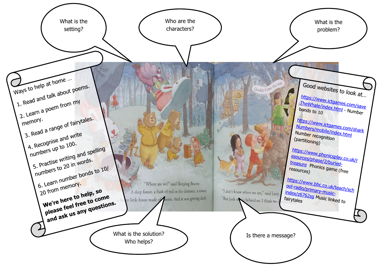